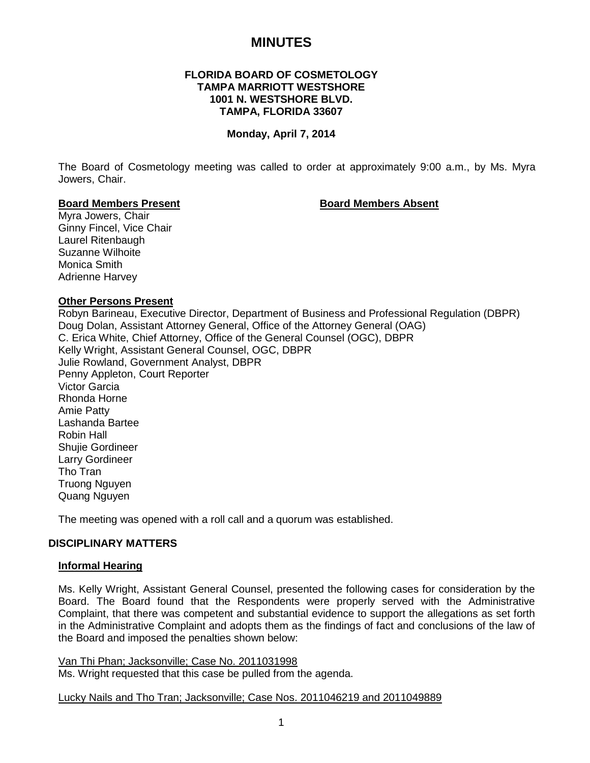# **MINUTES**

## **FLORIDA BOARD OF COSMETOLOGY TAMPA MARRIOTT WESTSHORE 1001 N. WESTSHORE BLVD. TAMPA, FLORIDA 33607**

#### **Monday, April 7, 2014**

The Board of Cosmetology meeting was called to order at approximately 9:00 a.m., by Ms. Myra Jowers, Chair.

#### **Board Members Present Board Members Absent**

Myra Jowers, Chair Ginny Fincel, Vice Chair Laurel Ritenbaugh Suzanne Wilhoite Monica Smith Adrienne Harvey

#### **Other Persons Present**

Robyn Barineau, Executive Director, Department of Business and Professional Regulation (DBPR) Doug Dolan, Assistant Attorney General, Office of the Attorney General (OAG) C. Erica White, Chief Attorney, Office of the General Counsel (OGC), DBPR Kelly Wright, Assistant General Counsel, OGC, DBPR Julie Rowland, Government Analyst, DBPR Penny Appleton, Court Reporter Victor Garcia Rhonda Horne Amie Patty Lashanda Bartee Robin Hall Shujie Gordineer Larry Gordineer Tho Tran Truong Nguyen Quang Nguyen

The meeting was opened with a roll call and a quorum was established.

#### **DISCIPLINARY MATTERS**

#### **Informal Hearing**

Ms. Kelly Wright, Assistant General Counsel, presented the following cases for consideration by the Board. The Board found that the Respondents were properly served with the Administrative Complaint, that there was competent and substantial evidence to support the allegations as set forth in the Administrative Complaint and adopts them as the findings of fact and conclusions of the law of the Board and imposed the penalties shown below:

Van Thi Phan; Jacksonville; Case No. 2011031998 Ms. Wright requested that this case be pulled from the agenda.

Lucky Nails and Tho Tran; Jacksonville; Case Nos. 2011046219 and 2011049889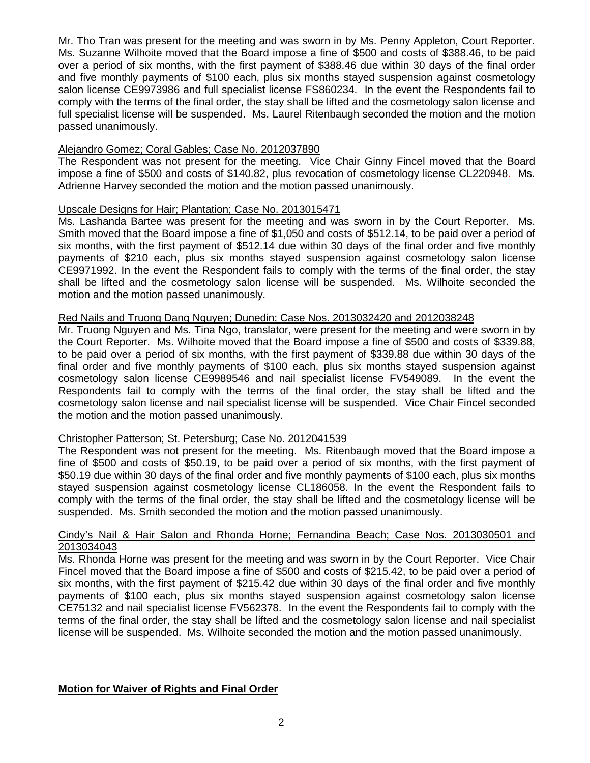Mr. Tho Tran was present for the meeting and was sworn in by Ms. Penny Appleton, Court Reporter. Ms. Suzanne Wilhoite moved that the Board impose a fine of \$500 and costs of \$388.46, to be paid over a period of six months, with the first payment of \$388.46 due within 30 days of the final order and five monthly payments of \$100 each, plus six months stayed suspension against cosmetology salon license CE9973986 and full specialist license FS860234. In the event the Respondents fail to comply with the terms of the final order, the stay shall be lifted and the cosmetology salon license and full specialist license will be suspended. Ms. Laurel Ritenbaugh seconded the motion and the motion passed unanimously.

## Alejandro Gomez; Coral Gables; Case No. 2012037890

The Respondent was not present for the meeting. Vice Chair Ginny Fincel moved that the Board impose a fine of \$500 and costs of \$140.82, plus revocation of cosmetology license CL220948. Ms. Adrienne Harvey seconded the motion and the motion passed unanimously.

## Upscale Designs for Hair; Plantation; Case No. 2013015471

Ms. Lashanda Bartee was present for the meeting and was sworn in by the Court Reporter. Ms. Smith moved that the Board impose a fine of \$1,050 and costs of \$512.14, to be paid over a period of six months, with the first payment of \$512.14 due within 30 days of the final order and five monthly payments of \$210 each, plus six months stayed suspension against cosmetology salon license CE9971992. In the event the Respondent fails to comply with the terms of the final order, the stay shall be lifted and the cosmetology salon license will be suspended. Ms. Wilhoite seconded the motion and the motion passed unanimously.

## Red Nails and Truong Dang Nguyen; Dunedin; Case Nos. 2013032420 and 2012038248

Mr. Truong Nguyen and Ms. Tina Ngo, translator, were present for the meeting and were sworn in by the Court Reporter. Ms. Wilhoite moved that the Board impose a fine of \$500 and costs of \$339.88, to be paid over a period of six months, with the first payment of \$339.88 due within 30 days of the final order and five monthly payments of \$100 each, plus six months stayed suspension against cosmetology salon license CE9989546 and nail specialist license FV549089. In the event the Respondents fail to comply with the terms of the final order, the stay shall be lifted and the cosmetology salon license and nail specialist license will be suspended. Vice Chair Fincel seconded the motion and the motion passed unanimously.

#### Christopher Patterson; St. Petersburg; Case No. 2012041539

The Respondent was not present for the meeting. Ms. Ritenbaugh moved that the Board impose a fine of \$500 and costs of \$50.19, to be paid over a period of six months, with the first payment of \$50.19 due within 30 days of the final order and five monthly payments of \$100 each, plus six months stayed suspension against cosmetology license CL186058. In the event the Respondent fails to comply with the terms of the final order, the stay shall be lifted and the cosmetology license will be suspended. Ms. Smith seconded the motion and the motion passed unanimously.

#### Cindy's Nail & Hair Salon and Rhonda Horne; Fernandina Beach; Case Nos. 2013030501 and 2013034043

Ms. Rhonda Horne was present for the meeting and was sworn in by the Court Reporter. Vice Chair Fincel moved that the Board impose a fine of \$500 and costs of \$215.42, to be paid over a period of six months, with the first payment of \$215.42 due within 30 days of the final order and five monthly payments of \$100 each, plus six months stayed suspension against cosmetology salon license CE75132 and nail specialist license FV562378. In the event the Respondents fail to comply with the terms of the final order, the stay shall be lifted and the cosmetology salon license and nail specialist license will be suspended. Ms. Wilhoite seconded the motion and the motion passed unanimously.

## **Motion for Waiver of Rights and Final Order**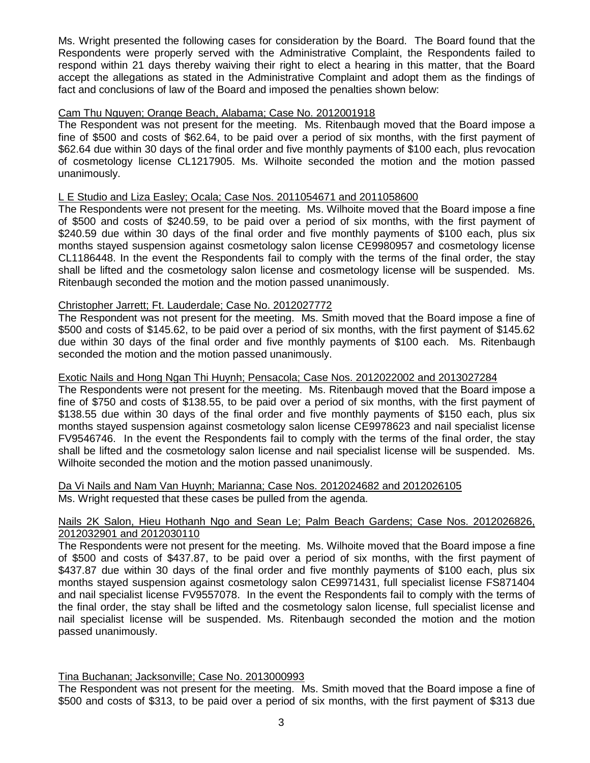Ms. Wright presented the following cases for consideration by the Board. The Board found that the Respondents were properly served with the Administrative Complaint, the Respondents failed to respond within 21 days thereby waiving their right to elect a hearing in this matter, that the Board accept the allegations as stated in the Administrative Complaint and adopt them as the findings of fact and conclusions of law of the Board and imposed the penalties shown below:

## Cam Thu Nguyen; Orange Beach, Alabama; Case No. 2012001918

The Respondent was not present for the meeting. Ms. Ritenbaugh moved that the Board impose a fine of \$500 and costs of \$62.64, to be paid over a period of six months, with the first payment of \$62.64 due within 30 days of the final order and five monthly payments of \$100 each, plus revocation of cosmetology license CL1217905. Ms. Wilhoite seconded the motion and the motion passed unanimously.

## L E Studio and Liza Easley; Ocala; Case Nos. 2011054671 and 2011058600

The Respondents were not present for the meeting. Ms. Wilhoite moved that the Board impose a fine of \$500 and costs of \$240.59, to be paid over a period of six months, with the first payment of \$240.59 due within 30 days of the final order and five monthly payments of \$100 each, plus six months stayed suspension against cosmetology salon license CE9980957 and cosmetology license CL1186448. In the event the Respondents fail to comply with the terms of the final order, the stay shall be lifted and the cosmetology salon license and cosmetology license will be suspended. Ms. Ritenbaugh seconded the motion and the motion passed unanimously.

## Christopher Jarrett; Ft. Lauderdale; Case No. 2012027772

The Respondent was not present for the meeting. Ms. Smith moved that the Board impose a fine of \$500 and costs of \$145.62, to be paid over a period of six months, with the first payment of \$145.62 due within 30 days of the final order and five monthly payments of \$100 each. Ms. Ritenbaugh seconded the motion and the motion passed unanimously.

## Exotic Nails and Hong Ngan Thi Huynh; Pensacola; Case Nos. 2012022002 and 2013027284

The Respondents were not present for the meeting. Ms. Ritenbaugh moved that the Board impose a fine of \$750 and costs of \$138.55, to be paid over a period of six months, with the first payment of \$138.55 due within 30 days of the final order and five monthly payments of \$150 each, plus six months stayed suspension against cosmetology salon license CE9978623 and nail specialist license FV9546746. In the event the Respondents fail to comply with the terms of the final order, the stay shall be lifted and the cosmetology salon license and nail specialist license will be suspended. Ms. Wilhoite seconded the motion and the motion passed unanimously.

Da Vi Nails and Nam Van Huynh; Marianna; Case Nos. 2012024682 and 2012026105 Ms. Wright requested that these cases be pulled from the agenda.

## Nails 2K Salon, Hieu Hothanh Ngo and Sean Le; Palm Beach Gardens; Case Nos. 2012026826, 2012032901 and 2012030110

The Respondents were not present for the meeting. Ms. Wilhoite moved that the Board impose a fine of \$500 and costs of \$437.87, to be paid over a period of six months, with the first payment of \$437.87 due within 30 days of the final order and five monthly payments of \$100 each, plus six months stayed suspension against cosmetology salon CE9971431, full specialist license FS871404 and nail specialist license FV9557078. In the event the Respondents fail to comply with the terms of the final order, the stay shall be lifted and the cosmetology salon license, full specialist license and nail specialist license will be suspended. Ms. Ritenbaugh seconded the motion and the motion passed unanimously.

#### Tina Buchanan; Jacksonville; Case No. 2013000993

The Respondent was not present for the meeting. Ms. Smith moved that the Board impose a fine of \$500 and costs of \$313, to be paid over a period of six months, with the first payment of \$313 due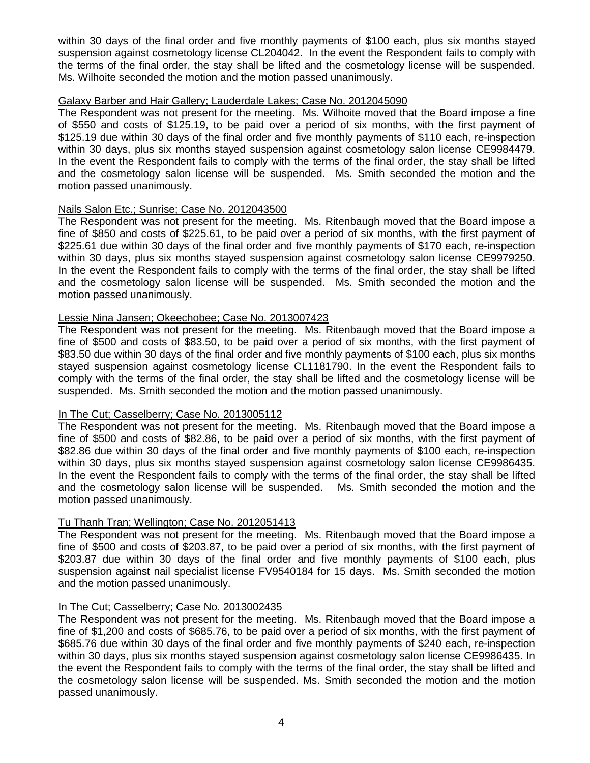within 30 days of the final order and five monthly payments of \$100 each, plus six months stayed suspension against cosmetology license CL204042. In the event the Respondent fails to comply with the terms of the final order, the stay shall be lifted and the cosmetology license will be suspended. Ms. Wilhoite seconded the motion and the motion passed unanimously.

## Galaxy Barber and Hair Gallery; Lauderdale Lakes; Case No. 2012045090

The Respondent was not present for the meeting. Ms. Wilhoite moved that the Board impose a fine of \$550 and costs of \$125.19, to be paid over a period of six months, with the first payment of \$125.19 due within 30 days of the final order and five monthly payments of \$110 each, re-inspection within 30 days, plus six months stayed suspension against cosmetology salon license CE9984479. In the event the Respondent fails to comply with the terms of the final order, the stay shall be lifted and the cosmetology salon license will be suspended. Ms. Smith seconded the motion and the motion passed unanimously.

## Nails Salon Etc.; Sunrise; Case No. 2012043500

The Respondent was not present for the meeting. Ms. Ritenbaugh moved that the Board impose a fine of \$850 and costs of \$225.61, to be paid over a period of six months, with the first payment of \$225.61 due within 30 days of the final order and five monthly payments of \$170 each, re-inspection within 30 days, plus six months stayed suspension against cosmetology salon license CE9979250. In the event the Respondent fails to comply with the terms of the final order, the stay shall be lifted and the cosmetology salon license will be suspended. Ms. Smith seconded the motion and the motion passed unanimously.

## Lessie Nina Jansen; Okeechobee; Case No. 2013007423

The Respondent was not present for the meeting. Ms. Ritenbaugh moved that the Board impose a fine of \$500 and costs of \$83.50, to be paid over a period of six months, with the first payment of \$83.50 due within 30 days of the final order and five monthly payments of \$100 each, plus six months stayed suspension against cosmetology license CL1181790. In the event the Respondent fails to comply with the terms of the final order, the stay shall be lifted and the cosmetology license will be suspended. Ms. Smith seconded the motion and the motion passed unanimously.

#### In The Cut; Casselberry; Case No. 2013005112

The Respondent was not present for the meeting. Ms. Ritenbaugh moved that the Board impose a fine of \$500 and costs of \$82.86, to be paid over a period of six months, with the first payment of \$82.86 due within 30 days of the final order and five monthly payments of \$100 each, re-inspection within 30 days, plus six months stayed suspension against cosmetology salon license CE9986435. In the event the Respondent fails to comply with the terms of the final order, the stay shall be lifted and the cosmetology salon license will be suspended. Ms. Smith seconded the motion and the motion passed unanimously.

## Tu Thanh Tran; Wellington; Case No. 2012051413

The Respondent was not present for the meeting. Ms. Ritenbaugh moved that the Board impose a fine of \$500 and costs of \$203.87, to be paid over a period of six months, with the first payment of \$203.87 due within 30 days of the final order and five monthly payments of \$100 each, plus suspension against nail specialist license FV9540184 for 15 days. Ms. Smith seconded the motion and the motion passed unanimously.

#### In The Cut; Casselberry; Case No. 2013002435

The Respondent was not present for the meeting. Ms. Ritenbaugh moved that the Board impose a fine of \$1,200 and costs of \$685.76, to be paid over a period of six months, with the first payment of \$685.76 due within 30 days of the final order and five monthly payments of \$240 each, re-inspection within 30 days, plus six months stayed suspension against cosmetology salon license CE9986435. In the event the Respondent fails to comply with the terms of the final order, the stay shall be lifted and the cosmetology salon license will be suspended. Ms. Smith seconded the motion and the motion passed unanimously.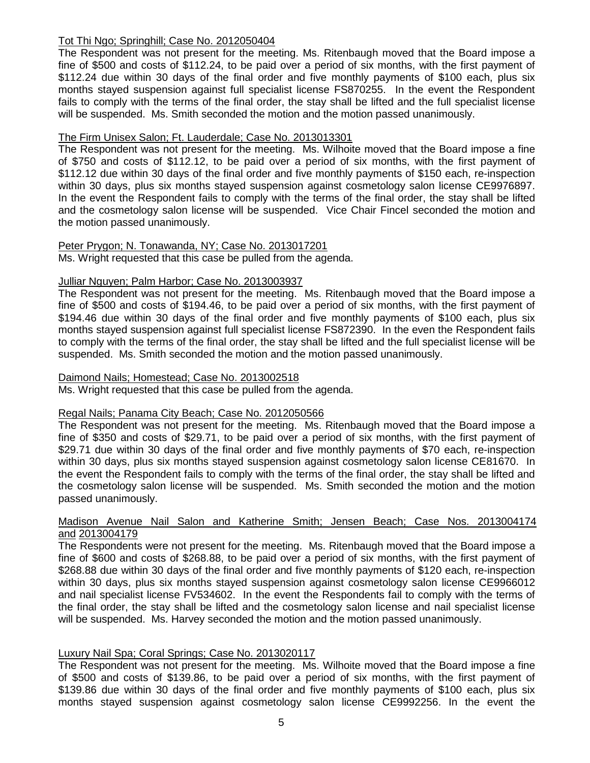## Tot Thi Ngo; Springhill; Case No. 2012050404

The Respondent was not present for the meeting. Ms. Ritenbaugh moved that the Board impose a fine of \$500 and costs of \$112.24, to be paid over a period of six months, with the first payment of \$112.24 due within 30 days of the final order and five monthly payments of \$100 each, plus six months stayed suspension against full specialist license FS870255. In the event the Respondent fails to comply with the terms of the final order, the stay shall be lifted and the full specialist license will be suspended. Ms. Smith seconded the motion and the motion passed unanimously.

## The Firm Unisex Salon; Ft. Lauderdale; Case No. 2013013301

The Respondent was not present for the meeting. Ms. Wilhoite moved that the Board impose a fine of \$750 and costs of \$112.12, to be paid over a period of six months, with the first payment of \$112.12 due within 30 days of the final order and five monthly payments of \$150 each, re-inspection within 30 days, plus six months stayed suspension against cosmetology salon license CE9976897. In the event the Respondent fails to comply with the terms of the final order, the stay shall be lifted and the cosmetology salon license will be suspended. Vice Chair Fincel seconded the motion and the motion passed unanimously.

## Peter Prygon; N. Tonawanda, NY; Case No. 2013017201

Ms. Wright requested that this case be pulled from the agenda.

## Julliar Nguyen; Palm Harbor; Case No. 2013003937

The Respondent was not present for the meeting. Ms. Ritenbaugh moved that the Board impose a fine of \$500 and costs of \$194.46, to be paid over a period of six months, with the first payment of \$194.46 due within 30 days of the final order and five monthly payments of \$100 each, plus six months stayed suspension against full specialist license FS872390. In the even the Respondent fails to comply with the terms of the final order, the stay shall be lifted and the full specialist license will be suspended. Ms. Smith seconded the motion and the motion passed unanimously.

## Daimond Nails; Homestead; Case No. 2013002518

Ms. Wright requested that this case be pulled from the agenda.

## Regal Nails; Panama City Beach; Case No. 2012050566

The Respondent was not present for the meeting. Ms. Ritenbaugh moved that the Board impose a fine of \$350 and costs of \$29.71, to be paid over a period of six months, with the first payment of \$29.71 due within 30 days of the final order and five monthly payments of \$70 each, re-inspection within 30 days, plus six months stayed suspension against cosmetology salon license CE81670. In the event the Respondent fails to comply with the terms of the final order, the stay shall be lifted and the cosmetology salon license will be suspended. Ms. Smith seconded the motion and the motion passed unanimously.

#### Madison Avenue Nail Salon and Katherine Smith; Jensen Beach; Case Nos. 2013004174 and 2013004179

The Respondents were not present for the meeting. Ms. Ritenbaugh moved that the Board impose a fine of \$600 and costs of \$268.88, to be paid over a period of six months, with the first payment of \$268.88 due within 30 days of the final order and five monthly payments of \$120 each, re-inspection within 30 days, plus six months stayed suspension against cosmetology salon license CE9966012 and nail specialist license FV534602. In the event the Respondents fail to comply with the terms of the final order, the stay shall be lifted and the cosmetology salon license and nail specialist license will be suspended. Ms. Harvey seconded the motion and the motion passed unanimously.

## Luxury Nail Spa; Coral Springs; Case No. 2013020117

The Respondent was not present for the meeting. Ms. Wilhoite moved that the Board impose a fine of \$500 and costs of \$139.86, to be paid over a period of six months, with the first payment of \$139.86 due within 30 days of the final order and five monthly payments of \$100 each, plus six months stayed suspension against cosmetology salon license CE9992256. In the event the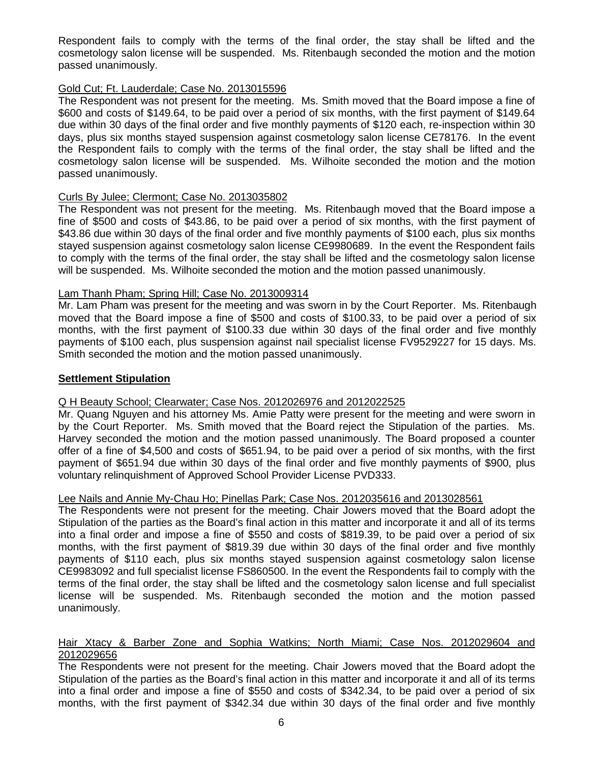Respondent fails to comply with the terms of the final order, the stay shall be lifted and the cosmetology salon license will be suspended. Ms. Ritenbaugh seconded the motion and the motion passed unanimously.

## Gold Cut; Ft. Lauderdale; Case No. 2013015596

The Respondent was not present for the meeting. Ms. Smith moved that the Board impose a fine of \$600 and costs of \$149.64, to be paid over a period of six months, with the first payment of \$149.64 due within 30 days of the final order and five monthly payments of \$120 each, re-inspection within 30 days, plus six months stayed suspension against cosmetology salon license CE78176. In the event the Respondent fails to comply with the terms of the final order, the stay shall be lifted and the cosmetology salon license will be suspended. Ms. Wilhoite seconded the motion and the motion passed unanimously.

## Curls By Julee; Clermont; Case No. 2013035802

The Respondent was not present for the meeting. Ms. Ritenbaugh moved that the Board impose a fine of \$500 and costs of \$43.86, to be paid over a period of six months, with the first payment of \$43.86 due within 30 days of the final order and five monthly payments of \$100 each, plus six months stayed suspension against cosmetology salon license CE9980689. In the event the Respondent fails to comply with the terms of the final order, the stay shall be lifted and the cosmetology salon license will be suspended. Ms. Wilhoite seconded the motion and the motion passed unanimously.

## Lam Thanh Pham; Spring Hill; Case No. 2013009314

Mr. Lam Pham was present for the meeting and was sworn in by the Court Reporter. Ms. Ritenbaugh moved that the Board impose a fine of \$500 and costs of \$100.33, to be paid over a period of six months, with the first payment of \$100.33 due within 30 days of the final order and five monthly payments of \$100 each, plus suspension against nail specialist license FV9529227 for 15 days. Ms. Smith seconded the motion and the motion passed unanimously.

## **Settlement Stipulation**

## Q H Beauty School; Clearwater; Case Nos. 2012026976 and 2012022525

Mr. Quang Nguyen and his attorney Ms. Amie Patty were present for the meeting and were sworn in by the Court Reporter. Ms. Smith moved that the Board reject the Stipulation of the parties. Ms. Harvey seconded the motion and the motion passed unanimously. The Board proposed a counter offer of a fine of \$4,500 and costs of \$651.94, to be paid over a period of six months, with the first payment of \$651.94 due within 30 days of the final order and five monthly payments of \$900, plus voluntary relinquishment of Approved School Provider License PVD333.

## Lee Nails and Annie My-Chau Ho; Pinellas Park; Case Nos. 2012035616 and 2013028561

The Respondents were not present for the meeting. Chair Jowers moved that the Board adopt the Stipulation of the parties as the Board's final action in this matter and incorporate it and all of its terms into a final order and impose a fine of \$550 and costs of \$819.39, to be paid over a period of six months, with the first payment of \$819.39 due within 30 days of the final order and five monthly payments of \$110 each, plus six months stayed suspension against cosmetology salon license CE9983092 and full specialist license FS860500. In the event the Respondents fail to comply with the terms of the final order, the stay shall be lifted and the cosmetology salon license and full specialist license will be suspended. Ms. Ritenbaugh seconded the motion and the motion passed unanimously.

#### Hair Xtacy & Barber Zone and Sophia Watkins; North Miami; Case Nos. 2012029604 and 2012029656

The Respondents were not present for the meeting. Chair Jowers moved that the Board adopt the Stipulation of the parties as the Board's final action in this matter and incorporate it and all of its terms into a final order and impose a fine of \$550 and costs of \$342.34, to be paid over a period of six months, with the first payment of \$342.34 due within 30 days of the final order and five monthly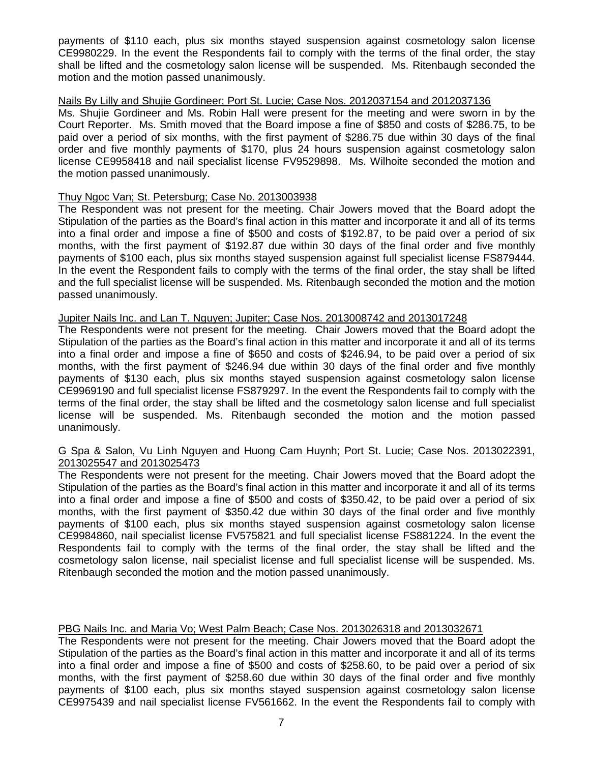payments of \$110 each, plus six months stayed suspension against cosmetology salon license CE9980229. In the event the Respondents fail to comply with the terms of the final order, the stay shall be lifted and the cosmetology salon license will be suspended. Ms. Ritenbaugh seconded the motion and the motion passed unanimously.

## Nails By Lilly and Shujie Gordineer; Port St. Lucie; Case Nos. 2012037154 and 2012037136

Ms. Shujie Gordineer and Ms. Robin Hall were present for the meeting and were sworn in by the Court Reporter. Ms. Smith moved that the Board impose a fine of \$850 and costs of \$286.75, to be paid over a period of six months, with the first payment of \$286.75 due within 30 days of the final order and five monthly payments of \$170, plus 24 hours suspension against cosmetology salon license CE9958418 and nail specialist license FV9529898. Ms. Wilhoite seconded the motion and the motion passed unanimously.

## Thuy Ngoc Van; St. Petersburg; Case No. 2013003938

The Respondent was not present for the meeting. Chair Jowers moved that the Board adopt the Stipulation of the parties as the Board's final action in this matter and incorporate it and all of its terms into a final order and impose a fine of \$500 and costs of \$192.87, to be paid over a period of six months, with the first payment of \$192.87 due within 30 days of the final order and five monthly payments of \$100 each, plus six months stayed suspension against full specialist license FS879444. In the event the Respondent fails to comply with the terms of the final order, the stay shall be lifted and the full specialist license will be suspended. Ms. Ritenbaugh seconded the motion and the motion passed unanimously.

## Jupiter Nails Inc. and Lan T. Nguyen; Jupiter; Case Nos. 2013008742 and 2013017248

The Respondents were not present for the meeting. Chair Jowers moved that the Board adopt the Stipulation of the parties as the Board's final action in this matter and incorporate it and all of its terms into a final order and impose a fine of \$650 and costs of \$246.94, to be paid over a period of six months, with the first payment of \$246.94 due within 30 days of the final order and five monthly payments of \$130 each, plus six months stayed suspension against cosmetology salon license CE9969190 and full specialist license FS879297. In the event the Respondents fail to comply with the terms of the final order, the stay shall be lifted and the cosmetology salon license and full specialist license will be suspended. Ms. Ritenbaugh seconded the motion and the motion passed unanimously.

#### G Spa & Salon, Vu Linh Nguyen and Huong Cam Huynh; Port St. Lucie; Case Nos. 2013022391, 2013025547 and 2013025473

The Respondents were not present for the meeting. Chair Jowers moved that the Board adopt the Stipulation of the parties as the Board's final action in this matter and incorporate it and all of its terms into a final order and impose a fine of \$500 and costs of \$350.42, to be paid over a period of six months, with the first payment of \$350.42 due within 30 days of the final order and five monthly payments of \$100 each, plus six months stayed suspension against cosmetology salon license CE9984860, nail specialist license FV575821 and full specialist license FS881224. In the event the Respondents fail to comply with the terms of the final order, the stay shall be lifted and the cosmetology salon license, nail specialist license and full specialist license will be suspended. Ms. Ritenbaugh seconded the motion and the motion passed unanimously.

## PBG Nails Inc. and Maria Vo; West Palm Beach; Case Nos. 2013026318 and 2013032671

The Respondents were not present for the meeting. Chair Jowers moved that the Board adopt the Stipulation of the parties as the Board's final action in this matter and incorporate it and all of its terms into a final order and impose a fine of \$500 and costs of \$258.60, to be paid over a period of six months, with the first payment of \$258.60 due within 30 days of the final order and five monthly payments of \$100 each, plus six months stayed suspension against cosmetology salon license CE9975439 and nail specialist license FV561662. In the event the Respondents fail to comply with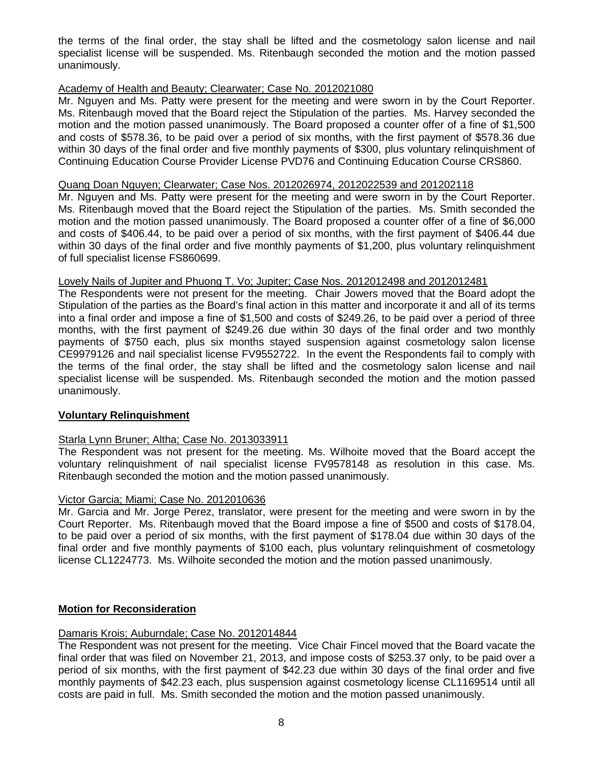the terms of the final order, the stay shall be lifted and the cosmetology salon license and nail specialist license will be suspended. Ms. Ritenbaugh seconded the motion and the motion passed unanimously.

### Academy of Health and Beauty; Clearwater; Case No. 2012021080

Mr. Nguyen and Ms. Patty were present for the meeting and were sworn in by the Court Reporter. Ms. Ritenbaugh moved that the Board reject the Stipulation of the parties. Ms. Harvey seconded the motion and the motion passed unanimously. The Board proposed a counter offer of a fine of \$1,500 and costs of \$578.36, to be paid over a period of six months, with the first payment of \$578.36 due within 30 days of the final order and five monthly payments of \$300, plus voluntary relinquishment of Continuing Education Course Provider License PVD76 and Continuing Education Course CRS860.

#### Quang Doan Nguyen; Clearwater; Case Nos. 2012026974, 2012022539 and 201202118

Mr. Nguyen and Ms. Patty were present for the meeting and were sworn in by the Court Reporter. Ms. Ritenbaugh moved that the Board reject the Stipulation of the parties. Ms. Smith seconded the motion and the motion passed unanimously. The Board proposed a counter offer of a fine of \$6,000 and costs of \$406.44, to be paid over a period of six months, with the first payment of \$406.44 due within 30 days of the final order and five monthly payments of \$1,200, plus voluntary relinquishment of full specialist license FS860699.

#### Lovely Nails of Jupiter and Phuong T. Vo; Jupiter; Case Nos. 2012012498 and 2012012481

The Respondents were not present for the meeting. Chair Jowers moved that the Board adopt the Stipulation of the parties as the Board's final action in this matter and incorporate it and all of its terms into a final order and impose a fine of \$1,500 and costs of \$249.26, to be paid over a period of three months, with the first payment of \$249.26 due within 30 days of the final order and two monthly payments of \$750 each, plus six months stayed suspension against cosmetology salon license CE9979126 and nail specialist license FV9552722. In the event the Respondents fail to comply with the terms of the final order, the stay shall be lifted and the cosmetology salon license and nail specialist license will be suspended. Ms. Ritenbaugh seconded the motion and the motion passed unanimously.

#### **Voluntary Relinquishment**

#### Starla Lynn Bruner; Altha; Case No. 2013033911

The Respondent was not present for the meeting. Ms. Wilhoite moved that the Board accept the voluntary relinquishment of nail specialist license FV9578148 as resolution in this case. Ms. Ritenbaugh seconded the motion and the motion passed unanimously.

#### Victor Garcia; Miami; Case No. 2012010636

Mr. Garcia and Mr. Jorge Perez, translator, were present for the meeting and were sworn in by the Court Reporter. Ms. Ritenbaugh moved that the Board impose a fine of \$500 and costs of \$178.04, to be paid over a period of six months, with the first payment of \$178.04 due within 30 days of the final order and five monthly payments of \$100 each, plus voluntary relinquishment of cosmetology license CL1224773. Ms. Wilhoite seconded the motion and the motion passed unanimously.

#### **Motion for Reconsideration**

#### Damaris Krois; Auburndale; Case No. 2012014844

The Respondent was not present for the meeting. Vice Chair Fincel moved that the Board vacate the final order that was filed on November 21, 2013, and impose costs of \$253.37 only, to be paid over a period of six months, with the first payment of \$42.23 due within 30 days of the final order and five monthly payments of \$42.23 each, plus suspension against cosmetology license CL1169514 until all costs are paid in full. Ms. Smith seconded the motion and the motion passed unanimously.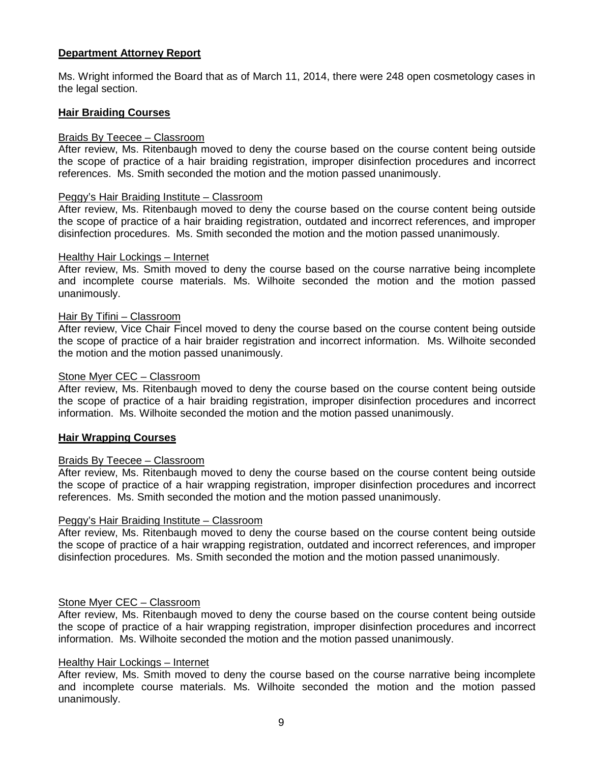## **Department Attorney Report**

Ms. Wright informed the Board that as of March 11, 2014, there were 248 open cosmetology cases in the legal section.

#### **Hair Braiding Courses**

#### Braids By Teecee – Classroom

After review, Ms. Ritenbaugh moved to deny the course based on the course content being outside the scope of practice of a hair braiding registration, improper disinfection procedures and incorrect references. Ms. Smith seconded the motion and the motion passed unanimously.

#### Peggy's Hair Braiding Institute – Classroom

After review, Ms. Ritenbaugh moved to deny the course based on the course content being outside the scope of practice of a hair braiding registration, outdated and incorrect references, and improper disinfection procedures. Ms. Smith seconded the motion and the motion passed unanimously.

#### Healthy Hair Lockings – Internet

After review, Ms. Smith moved to deny the course based on the course narrative being incomplete and incomplete course materials. Ms. Wilhoite seconded the motion and the motion passed unanimously.

#### Hair By Tifini – Classroom

After review, Vice Chair Fincel moved to deny the course based on the course content being outside the scope of practice of a hair braider registration and incorrect information. Ms. Wilhoite seconded the motion and the motion passed unanimously.

#### Stone Myer CEC – Classroom

After review, Ms. Ritenbaugh moved to deny the course based on the course content being outside the scope of practice of a hair braiding registration, improper disinfection procedures and incorrect information. Ms. Wilhoite seconded the motion and the motion passed unanimously.

#### **Hair Wrapping Courses**

#### Braids By Teecee – Classroom

After review, Ms. Ritenbaugh moved to deny the course based on the course content being outside the scope of practice of a hair wrapping registration, improper disinfection procedures and incorrect references. Ms. Smith seconded the motion and the motion passed unanimously.

#### Peggy's Hair Braiding Institute – Classroom

After review, Ms. Ritenbaugh moved to deny the course based on the course content being outside the scope of practice of a hair wrapping registration, outdated and incorrect references, and improper disinfection procedures. Ms. Smith seconded the motion and the motion passed unanimously.

#### Stone Myer CEC – Classroom

After review, Ms. Ritenbaugh moved to deny the course based on the course content being outside the scope of practice of a hair wrapping registration, improper disinfection procedures and incorrect information. Ms. Wilhoite seconded the motion and the motion passed unanimously.

#### Healthy Hair Lockings – Internet

After review, Ms. Smith moved to deny the course based on the course narrative being incomplete and incomplete course materials. Ms. Wilhoite seconded the motion and the motion passed unanimously.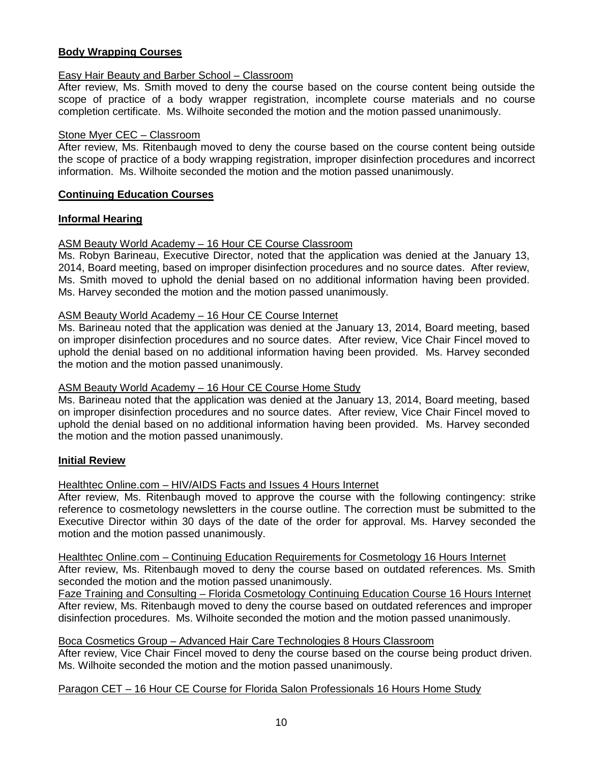## **Body Wrapping Courses**

## Easy Hair Beauty and Barber School – Classroom

After review, Ms. Smith moved to deny the course based on the course content being outside the scope of practice of a body wrapper registration, incomplete course materials and no course completion certificate. Ms. Wilhoite seconded the motion and the motion passed unanimously.

## Stone Myer CEC – Classroom

After review, Ms. Ritenbaugh moved to deny the course based on the course content being outside the scope of practice of a body wrapping registration, improper disinfection procedures and incorrect information. Ms. Wilhoite seconded the motion and the motion passed unanimously.

## **Continuing Education Courses**

## **Informal Hearing**

## ASM Beauty World Academy – 16 Hour CE Course Classroom

Ms. Robyn Barineau, Executive Director, noted that the application was denied at the January 13, 2014, Board meeting, based on improper disinfection procedures and no source dates. After review, Ms. Smith moved to uphold the denial based on no additional information having been provided. Ms. Harvey seconded the motion and the motion passed unanimously.

#### ASM Beauty World Academy – 16 Hour CE Course Internet

Ms. Barineau noted that the application was denied at the January 13, 2014, Board meeting, based on improper disinfection procedures and no source dates. After review, Vice Chair Fincel moved to uphold the denial based on no additional information having been provided. Ms. Harvey seconded the motion and the motion passed unanimously.

#### ASM Beauty World Academy – 16 Hour CE Course Home Study

Ms. Barineau noted that the application was denied at the January 13, 2014, Board meeting, based on improper disinfection procedures and no source dates. After review, Vice Chair Fincel moved to uphold the denial based on no additional information having been provided. Ms. Harvey seconded the motion and the motion passed unanimously.

## **Initial Review**

## Healthtec Online.com – HIV/AIDS Facts and Issues 4 Hours Internet

After review, Ms. Ritenbaugh moved to approve the course with the following contingency: strike reference to cosmetology newsletters in the course outline. The correction must be submitted to the Executive Director within 30 days of the date of the order for approval. Ms. Harvey seconded the motion and the motion passed unanimously.

Healthtec Online.com – Continuing Education Requirements for Cosmetology 16 Hours Internet After review, Ms. Ritenbaugh moved to deny the course based on outdated references. Ms. Smith seconded the motion and the motion passed unanimously.

Faze Training and Consulting – Florida Cosmetology Continuing Education Course 16 Hours Internet After review, Ms. Ritenbaugh moved to deny the course based on outdated references and improper disinfection procedures. Ms. Wilhoite seconded the motion and the motion passed unanimously.

#### Boca Cosmetics Group – Advanced Hair Care Technologies 8 Hours Classroom

After review, Vice Chair Fincel moved to deny the course based on the course being product driven. Ms. Wilhoite seconded the motion and the motion passed unanimously.

#### Paragon CET - 16 Hour CE Course for Florida Salon Professionals 16 Hours Home Study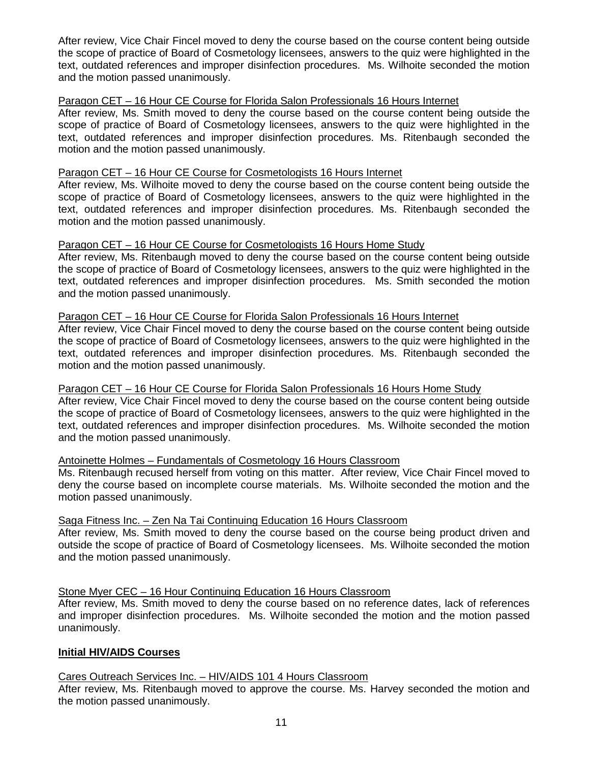After review, Vice Chair Fincel moved to deny the course based on the course content being outside the scope of practice of Board of Cosmetology licensees, answers to the quiz were highlighted in the text, outdated references and improper disinfection procedures. Ms. Wilhoite seconded the motion and the motion passed unanimously.

## Paragon CET – 16 Hour CE Course for Florida Salon Professionals 16 Hours Internet

After review, Ms. Smith moved to deny the course based on the course content being outside the scope of practice of Board of Cosmetology licensees, answers to the quiz were highlighted in the text, outdated references and improper disinfection procedures. Ms. Ritenbaugh seconded the motion and the motion passed unanimously.

## Paragon CET – 16 Hour CE Course for Cosmetologists 16 Hours Internet

After review, Ms. Wilhoite moved to deny the course based on the course content being outside the scope of practice of Board of Cosmetology licensees, answers to the quiz were highlighted in the text, outdated references and improper disinfection procedures. Ms. Ritenbaugh seconded the motion and the motion passed unanimously.

## Paragon CET – 16 Hour CE Course for Cosmetologists 16 Hours Home Study

After review, Ms. Ritenbaugh moved to deny the course based on the course content being outside the scope of practice of Board of Cosmetology licensees, answers to the quiz were highlighted in the text, outdated references and improper disinfection procedures. Ms. Smith seconded the motion and the motion passed unanimously.

#### Paragon CET – 16 Hour CE Course for Florida Salon Professionals 16 Hours Internet

After review, Vice Chair Fincel moved to deny the course based on the course content being outside the scope of practice of Board of Cosmetology licensees, answers to the quiz were highlighted in the text, outdated references and improper disinfection procedures. Ms. Ritenbaugh seconded the motion and the motion passed unanimously.

#### Paragon CET – 16 Hour CE Course for Florida Salon Professionals 16 Hours Home Study

After review, Vice Chair Fincel moved to deny the course based on the course content being outside the scope of practice of Board of Cosmetology licensees, answers to the quiz were highlighted in the text, outdated references and improper disinfection procedures. Ms. Wilhoite seconded the motion and the motion passed unanimously.

#### Antoinette Holmes – Fundamentals of Cosmetology 16 Hours Classroom

Ms. Ritenbaugh recused herself from voting on this matter. After review, Vice Chair Fincel moved to deny the course based on incomplete course materials. Ms. Wilhoite seconded the motion and the motion passed unanimously.

#### Saga Fitness Inc. – Zen Na Tai Continuing Education 16 Hours Classroom

After review, Ms. Smith moved to deny the course based on the course being product driven and outside the scope of practice of Board of Cosmetology licensees. Ms. Wilhoite seconded the motion and the motion passed unanimously.

## Stone Myer CEC – 16 Hour Continuing Education 16 Hours Classroom

After review, Ms. Smith moved to deny the course based on no reference dates, lack of references and improper disinfection procedures. Ms. Wilhoite seconded the motion and the motion passed unanimously.

#### **Initial HIV/AIDS Courses**

#### Cares Outreach Services Inc. – HIV/AIDS 101 4 Hours Classroom

After review, Ms. Ritenbaugh moved to approve the course. Ms. Harvey seconded the motion and the motion passed unanimously.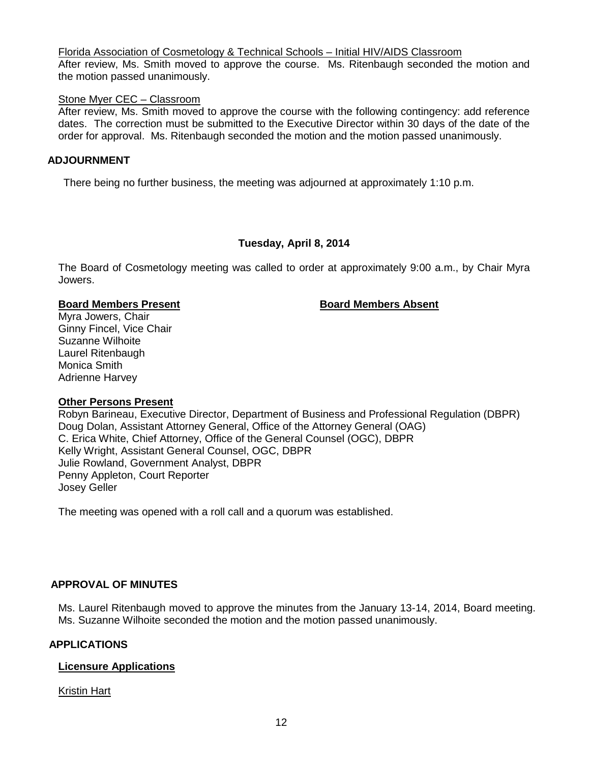Florida Association of Cosmetology & Technical Schools – Initial HIV/AIDS Classroom

After review, Ms. Smith moved to approve the course. Ms. Ritenbaugh seconded the motion and the motion passed unanimously.

## Stone Myer CEC – Classroom

After review, Ms. Smith moved to approve the course with the following contingency: add reference dates. The correction must be submitted to the Executive Director within 30 days of the date of the order for approval. Ms. Ritenbaugh seconded the motion and the motion passed unanimously.

## **ADJOURNMENT**

There being no further business, the meeting was adjourned at approximately 1:10 p.m.

## **Tuesday, April 8, 2014**

The Board of Cosmetology meeting was called to order at approximately 9:00 a.m., by Chair Myra Jowers.

#### **Board Members Present Board Members Absent**

Myra Jowers, Chair Ginny Fincel, Vice Chair Suzanne Wilhoite Laurel Ritenbaugh Monica Smith Adrienne Harvey

#### **Other Persons Present**

Robyn Barineau, Executive Director, Department of Business and Professional Regulation (DBPR) Doug Dolan, Assistant Attorney General, Office of the Attorney General (OAG) C. Erica White, Chief Attorney, Office of the General Counsel (OGC), DBPR Kelly Wright, Assistant General Counsel, OGC, DBPR Julie Rowland, Government Analyst, DBPR Penny Appleton, Court Reporter Josey Geller

The meeting was opened with a roll call and a quorum was established.

## **APPROVAL OF MINUTES**

Ms. Laurel Ritenbaugh moved to approve the minutes from the January 13-14, 2014, Board meeting. Ms. Suzanne Wilhoite seconded the motion and the motion passed unanimously.

## **APPLICATIONS**

## **Licensure Applications**

Kristin Hart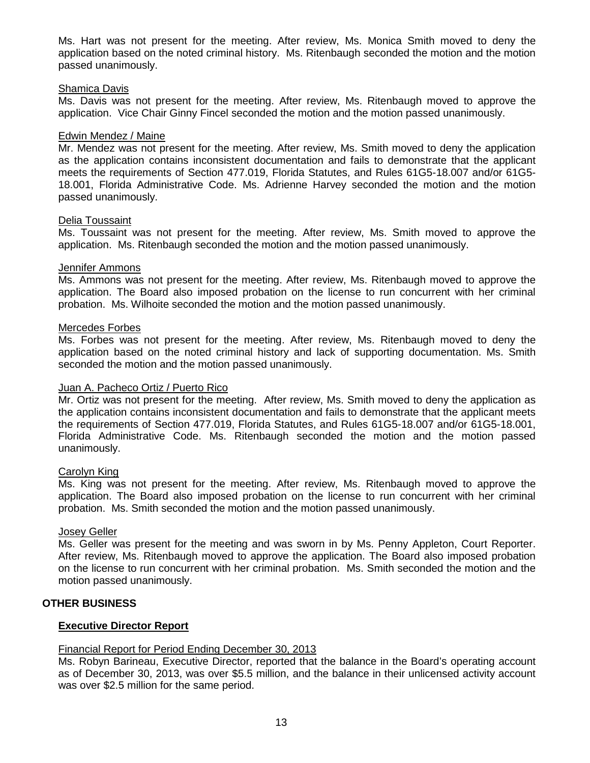Ms. Hart was not present for the meeting. After review, Ms. Monica Smith moved to deny the application based on the noted criminal history. Ms. Ritenbaugh seconded the motion and the motion passed unanimously.

#### Shamica Davis

Ms. Davis was not present for the meeting. After review, Ms. Ritenbaugh moved to approve the application. Vice Chair Ginny Fincel seconded the motion and the motion passed unanimously.

#### Edwin Mendez / Maine

Mr. Mendez was not present for the meeting. After review, Ms. Smith moved to deny the application as the application contains inconsistent documentation and fails to demonstrate that the applicant meets the requirements of Section 477.019, Florida Statutes, and Rules 61G5-18.007 and/or 61G5- 18.001, Florida Administrative Code. Ms. Adrienne Harvey seconded the motion and the motion passed unanimously.

#### Delia Toussaint

Ms. Toussaint was not present for the meeting. After review, Ms. Smith moved to approve the application. Ms. Ritenbaugh seconded the motion and the motion passed unanimously.

#### Jennifer Ammons

Ms. Ammons was not present for the meeting. After review, Ms. Ritenbaugh moved to approve the application. The Board also imposed probation on the license to run concurrent with her criminal probation. Ms. Wilhoite seconded the motion and the motion passed unanimously.

#### Mercedes Forbes

Ms. Forbes was not present for the meeting. After review, Ms. Ritenbaugh moved to deny the application based on the noted criminal history and lack of supporting documentation. Ms. Smith seconded the motion and the motion passed unanimously.

#### Juan A. Pacheco Ortiz / Puerto Rico

Mr. Ortiz was not present for the meeting. After review, Ms. Smith moved to deny the application as the application contains inconsistent documentation and fails to demonstrate that the applicant meets the requirements of Section 477.019, Florida Statutes, and Rules 61G5-18.007 and/or 61G5-18.001, Florida Administrative Code. Ms. Ritenbaugh seconded the motion and the motion passed unanimously.

#### Carolyn King

Ms. King was not present for the meeting. After review, Ms. Ritenbaugh moved to approve the application. The Board also imposed probation on the license to run concurrent with her criminal probation. Ms. Smith seconded the motion and the motion passed unanimously.

#### Josey Geller

Ms. Geller was present for the meeting and was sworn in by Ms. Penny Appleton, Court Reporter. After review, Ms. Ritenbaugh moved to approve the application. The Board also imposed probation on the license to run concurrent with her criminal probation. Ms. Smith seconded the motion and the motion passed unanimously.

#### **OTHER BUSINESS**

#### **Executive Director Report**

#### Financial Report for Period Ending December 30, 2013

Ms. Robyn Barineau, Executive Director, reported that the balance in the Board's operating account as of December 30, 2013, was over \$5.5 million, and the balance in their unlicensed activity account was over \$2.5 million for the same period.